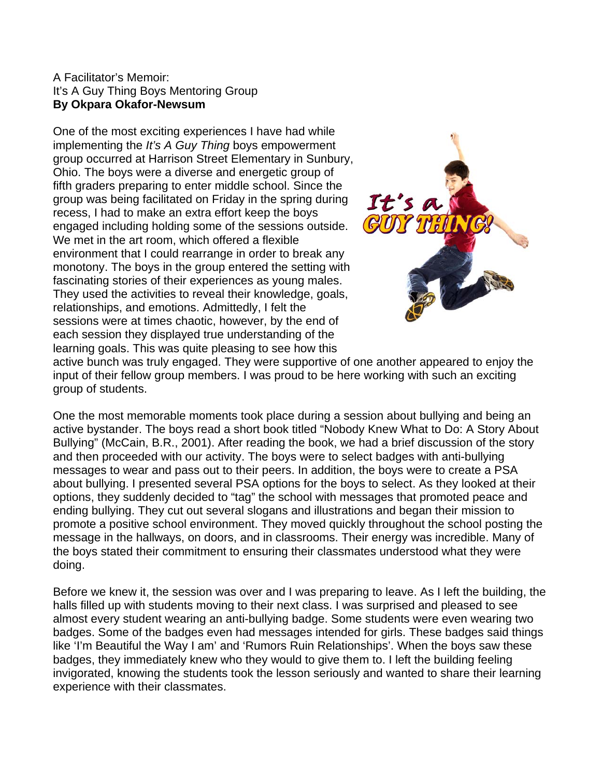## A Facilitator's Memoir: It's A Guy Thing Boys Mentoring Group **By Okpara Okafor-Newsum**

One of the most exciting experiences I have had while implementing the *It's A Guy Thing* boys empowerment group occurred at Harrison Street Elementary in Sunbury, Ohio. The boys were a diverse and energetic group of fifth graders preparing to enter middle school. Since the group was being facilitated on Friday in the spring during recess, I had to make an extra effort keep the boys engaged including holding some of the sessions outside. We met in the art room, which offered a flexible environment that I could rearrange in order to break any monotony. The boys in the group entered the setting with fascinating stories of their experiences as young males. They used the activities to reveal their knowledge, goals, relationships, and emotions. Admittedly, I felt the sessions were at times chaotic, however, by the end of each session they displayed true understanding of the learning goals. This was quite pleasing to see how this



active bunch was truly engaged. They were supportive of one another appeared to enjoy the input of their fellow group members. I was proud to be here working with such an exciting group of students.

One the most memorable moments took place during a session about bullying and being an active bystander. The boys read a short book titled "Nobody Knew What to Do: A Story About Bullying" (McCain, B.R., 2001). After reading the book, we had a brief discussion of the story and then proceeded with our activity. The boys were to select badges with anti-bullying messages to wear and pass out to their peers. In addition, the boys were to create a PSA about bullying. I presented several PSA options for the boys to select. As they looked at their options, they suddenly decided to "tag" the school with messages that promoted peace and ending bullying. They cut out several slogans and illustrations and began their mission to promote a positive school environment. They moved quickly throughout the school posting the message in the hallways, on doors, and in classrooms. Their energy was incredible. Many of the boys stated their commitment to ensuring their classmates understood what they were doing.

Before we knew it, the session was over and I was preparing to leave. As I left the building, the halls filled up with students moving to their next class. I was surprised and pleased to see almost every student wearing an anti-bullying badge. Some students were even wearing two badges. Some of the badges even had messages intended for girls. These badges said things like 'I'm Beautiful the Way I am' and 'Rumors Ruin Relationships'. When the boys saw these badges, they immediately knew who they would to give them to. I left the building feeling invigorated, knowing the students took the lesson seriously and wanted to share their learning experience with their classmates.